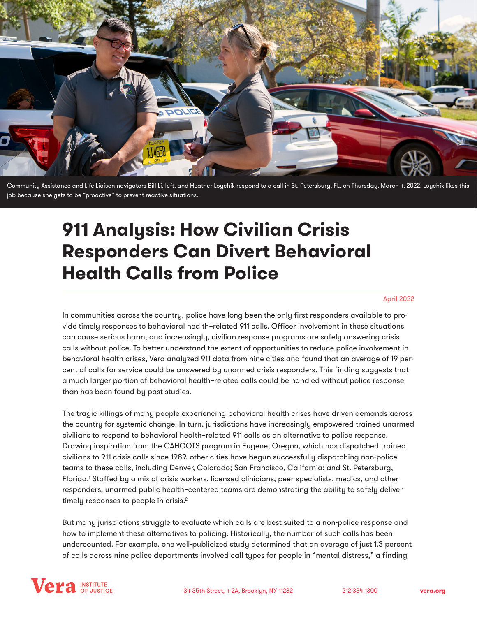<span id="page-0-0"></span>

Community Assistance and Life Liaison navigators Bill Li, left, and Heather Loychik respond to a call in St. Petersburg, FL, on Thursday, March 4, 2022. Loychik likes this job because she gets to be "proactive" to prevent reactive situations.

# **911 Analysis: How Civilian Crisis Responders Can Divert Behavioral Health Calls from Police**

#### April 2022

In communities across the country, police have long been the only first responders available to provide timely responses to behavioral health–related 911 calls. Officer involvement in these situations can cause serious harm, and increasingly, civilian response programs are safely answering crisis calls without police. To better understand the extent of opportunities to reduce police involvement in behavioral health crises, Vera analyzed 911 data from nine cities and found that an average of 19 percent of calls for service could be answered by unarmed crisis responders. This finding suggests that a much larger portion of behavioral health–related calls could be handled without police response than has been found by past studies.

The tragic killings of many people experiencing behavioral health crises have driven demands across the country for systemic change. In turn, jurisdictions have increasingly empowered trained unarmed civilians to respond to behavioral health–related 911 calls as an alternative to police response. Drawing inspiration from the CAHOOTS program in Eugene, Oregon, which has dispatched trained civilians to 911 crisis calls since 1989, other cities have begun successfully dispatching non-police teams to these calls, including Denver, Colorado; San Francisco, California; and St. Petersburg, Florida.[1](#page-4-0) Staffed by a mix of crisis workers, licensed clinicians, peer specialists, medics, and other responders, unarmed public health–centered teams are demonstrating the ability to safely deliver timely responses to people in crisis.<sup>[2](#page-4-0)</sup>

But many jurisdictions struggle to evaluate which calls are best suited to a non-police response and how to implement these alternatives to policing. Historically, the number of such calls has been undercounted. For example, one well-publicized study determined that an average of just 1.3 percent of calls across nine police departments involved call types for people in "mental distress," a finding

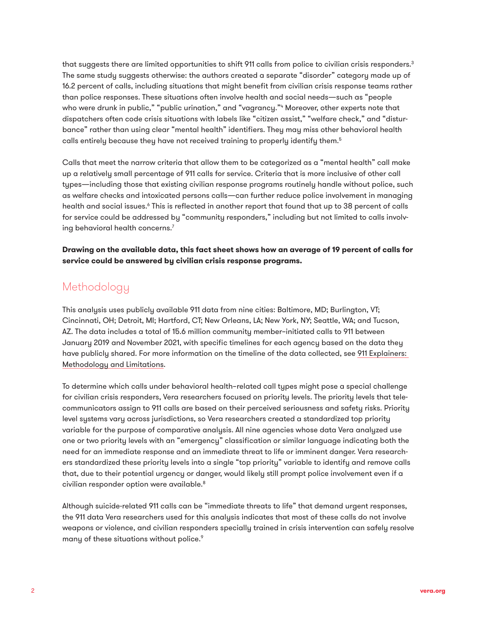<span id="page-1-0"></span>that suggests there are limited opportunities to shift 911 calls from police to civilian crisis responders.<sup>3</sup> The same study suggests otherwise: the authors created a separate "disorder" category made up of 16.2 percent of calls, including situations that might benefit from civilian crisis response teams rather than police responses. These situations often involve health and social needs—such as "people who were drunk in public," "public urination," and "vagrancy."<sup>4</sup> Moreover, other experts note that dispatchers often code crisis situations with labels like "citizen assist," "welfare check," and "disturbance" rather than using clear "mental health" identifiers. They may miss other behavioral health calls entirely because they have not received training to properly identify them.<sup>5</sup>

Calls that meet the narrow criteria that allow them to be categorized as a "mental health" call make up a relatively small percentage of 911 calls for service. Criteria that is more inclusive of other call types—including those that existing civilian response programs routinely handle without police, such as welfare checks and intoxicated persons calls—can further reduce police involvement in managing health and social issues.<sup>6</sup> This is reflected in another report that found that up to 38 percent of calls for service could be addressed by "community responders," including but not limited to calls involving behavioral health concerns.[7](#page-4-0)

**Drawing on the available data, this fact sheet shows how an average of 19 percent of calls for service could be answered by civilian crisis response programs.**

# Methodology

This analysis uses publicly available 911 data from nine cities: Baltimore, MD; Burlington, VT; Cincinnati, OH; Detroit, MI; Hartford, CT; New Orleans, LA; New York, NY; Seattle, WA; and Tucson, AZ. The data includes a total of 15.6 million community member–initiated calls to 911 between January 2019 and November 2021, with specific timelines for each agency based on the data they have publicly shared. For more information on the timeline of the data collected, see [911 Explainers:](https://www.vera.org/downloads/publications/911-analysis-methodology-and-limitations.pdf)  [Methodology and Limitations](https://www.vera.org/downloads/publications/911-analysis-methodology-and-limitations.pdf).

To determine which calls under behavioral health–related call types might pose a special challenge for civilian crisis responders, Vera researchers focused on priority levels. The priority levels that telecommunicators assign to 911 calls are based on their perceived seriousness and safety risks. Priority level systems vary across jurisdictions, so Vera researchers created a standardized top priority variable for the purpose of comparative analysis. All nine agencies whose data Vera analyzed use one or two priority levels with an "emergency" classification or similar language indicating both the need for an immediate response and an immediate threat to life or imminent danger. Vera researchers standardized these priority levels into a single "top priority" variable to identify and remove calls that, due to their potential urgency or danger, would likely still prompt police involvement even if a civilian responder option were available[.8](#page-4-0)

Although suicide-related 911 calls can be "immediate threats to life" that demand urgent responses, the 911 data Vera researchers used for this analysis indicates that most of these calls do not involve weapons or violence, and civilian responders specially trained in crisis intervention can safely resolve many of these situations without police.<sup>[9](#page-4-0)</sup>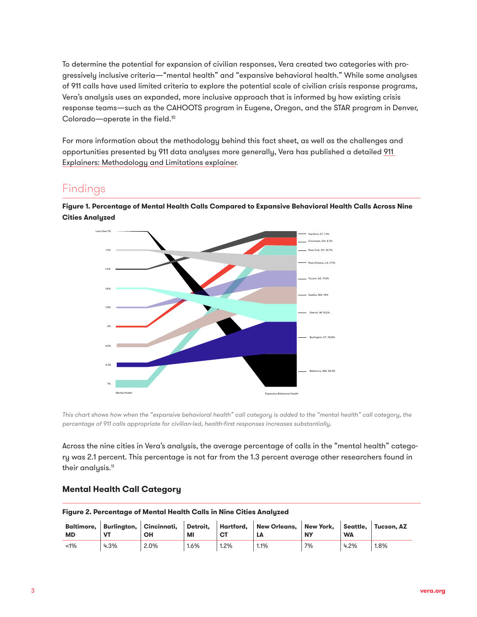<span id="page-2-0"></span>To determine the potential for expansion of civilian responses, Vera created two categories with progressively inclusive criteria—"mental health" and "expansive behavioral health." While some analyses of 911 calls have used limited criteria to explore the potential scale of civilian crisis response programs, Vera's analysis uses an expanded, more inclusive approach that is informed by how existing crisis response teams—such as the CAHOOTS program in Eugene, Oregon, and the STAR program in Denver, Colorado—operate in the field.[10](#page-4-0)

For more information about the methodology behind this fact sheet, as well as the challenges and opportunities presented by 911 data analyses more generally, Vera has published a detailed [911](https://www.vera.org/downloads/publications/911-analysis-methodology-and-limitations.pdf)  [Explainers: Methodology and Limitations explainer](https://www.vera.org/downloads/publications/911-analysis-methodology-and-limitations.pdf).

# Findings

**Figure 1. Percentage of Mental Health Calls Compared to Expansive Behavioral Health Calls Across Nine Cities Analyzed**



*This chart shows how when the "expansive behavioral health" call category is added to the "mental health" call category, the percentage of 911 calls appropriate for civilian-led, health-first responses increases substantially.*

Across the nine cities in Vera's analysis, the average percentage of calls in the "mental health" category was 2.1 percent. This percentage is not far from the 1.3 percent average other researchers found in their analysis.<sup>[11](#page-4-0)</sup>

#### **Mental Health Call Category**

**Figure 2. Percentage of Mental Health Calls in Nine Cities Analyzed**

|       |      |      |         |           | Baltimore, Burlington, Cincinnati, Detroit, Hartford, New Orleans, New York, Seattle, Tucson, AZ |           |           |      |  |
|-------|------|------|---------|-----------|--------------------------------------------------------------------------------------------------|-----------|-----------|------|--|
| МD    |      | OН   | MI      | <b>CT</b> | LΑ                                                                                               | <b>NY</b> | <b>WA</b> |      |  |
| $1\%$ | 4.3% | 2.0% | $1.6\%$ | 1.2%      | 1.1%                                                                                             | 7%        | 4.2%      | 1.8% |  |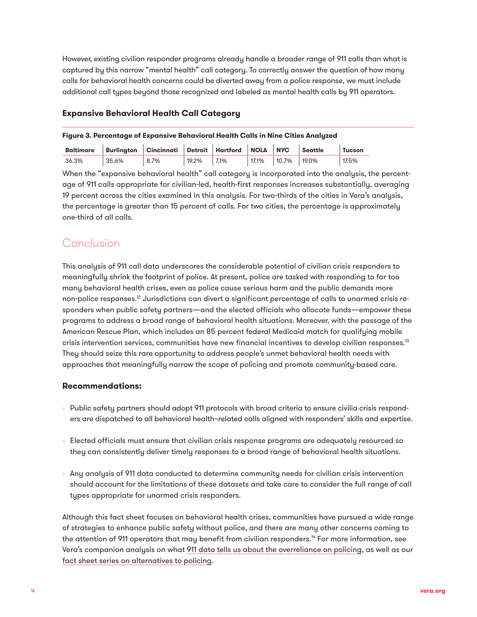<span id="page-3-0"></span>However, existing civilian responder programs already handle a broader range of 911 calls than what is captured by this narrow "mental health" call category. To correctly answer the question of how many calls for behavioral health concerns could be diverted away from a police response, we must include additional call types beyond those recognized and labeled as mental health calls by 911 operators.

#### **Expansive Behavioral Health Call Category**

#### **Figure 3. Percentage of Expansive Behavioral Health Calls in Nine Cities Analyzed**

| <b>Baltimore</b> | Burlinaton   Cincinnati   Detroit   Hartford |         |       |      | NOLA NYC |                | Seattle | Tucson |
|------------------|----------------------------------------------|---------|-------|------|----------|----------------|---------|--------|
| 36.3%            | 35.6%                                        | $8.7\%$ | 19.2% | 7.1% | 17.1%    | $10.7\%$ 19.0% |         | 17.5%  |

When the "expansive behavioral health" call category is incorporated into the analysis, the percentage of 911 calls appropriate for civilian-led, health-first responses increases substantially, averaging 19 percent across the cities examined in this analysis. For two-thirds of the cities in Vera's analysis, the percentage is greater than 15 percent of calls. For two cities, the percentage is approximately one-third of all calls.

# **Conclusion**

This analysis of 911 call data underscores the considerable potential of civilian crisis responders to meaningfully shrink the footprint of police. At present, police are tasked with responding to far too many behavioral health crises, even as police cause serious harm and the public demands more non-police responses.<sup>12</sup> Jurisdictions can divert a significant percentage of calls to unarmed crisis responders when public safety partners—and the elected officials who allocate funds—empower these programs to address a broad range of behavioral health situations. Moreover, with the passage of the American Rescue Plan, which includes an 85 percent federal Medicaid match for qualifying mobile crisis intervention services, communities have new financial incentives to develop civilian responses[.13](#page-4-0) They should seize this rare opportunity to address people's unmet behavioral health needs with approaches that meaningfully narrow the scope of policing and promote community-based care.

### **Recommendations:**

- $\rightarrow$  Public safety partners should adopt 911 protocols with broad criteria to ensure civilia crisis responders are dispatched to all behavioral health–related calls aligned with responders' skills and expertise.
- $\,\cdot\,$  Elected officials must ensure that civilian crisis response programs are adequately resourced so they can consistently deliver timely responses to a broad range of behavioral health situations.
- $\rightarrow$  Any analysis of 911 data conducted to determine community needs for civilian crisis intervention should account for the limitations of these datasets and take care to consider the full range of call types appropriate for unarmed crisis responders.

Although this fact sheet focuses on behavioral health crises, communities have pursued a wide range of strategies to enhance public safety without police, and there are many other concerns coming to the attention of 911 operators that may benefit from civilian responders.<sup>14</sup> For more information, see Vera's companion analysis on what [911 data tells us about the overreliance on policing](https://www.vera.org/downloads/publications/911-analysis-we-can-rely-less-on-police.pdf), as well as ou[r](https://www.vera.org/publications/investing-in-evidence-based-alternatives-to-policing) [fact sheet series on alternatives to policing.](https://www.vera.org/publications/investing-in-evidence-based-alternatives-to-policing)